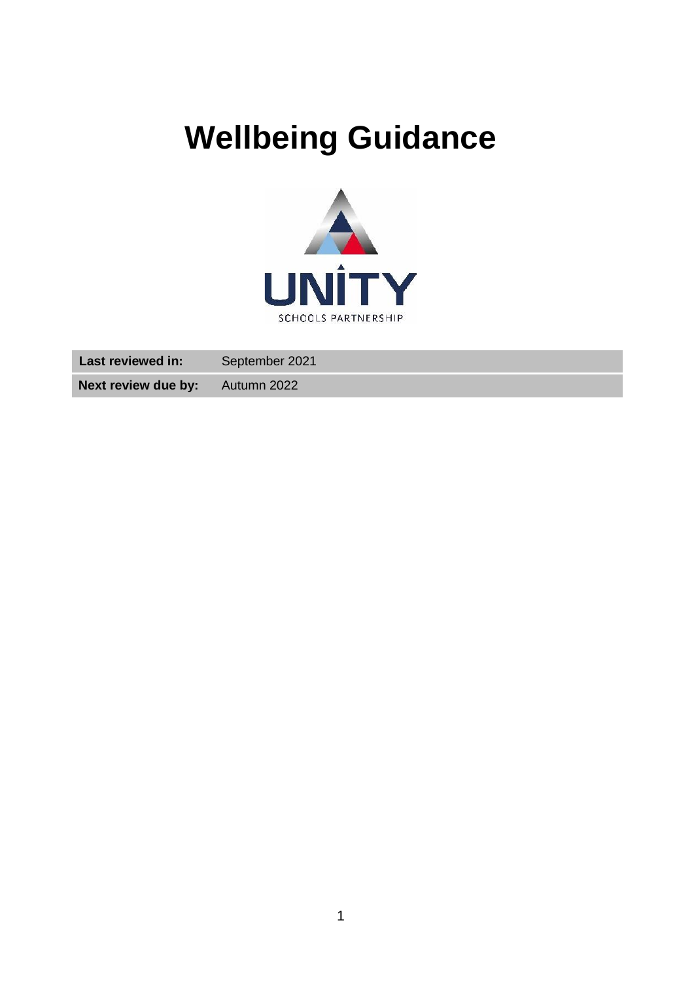# <span id="page-0-0"></span>**Wellbeing Guidance**



| <b>Last reviewed in:</b>               | September 2021 |
|----------------------------------------|----------------|
| <b>Next review due by:</b> Autumn 2022 |                |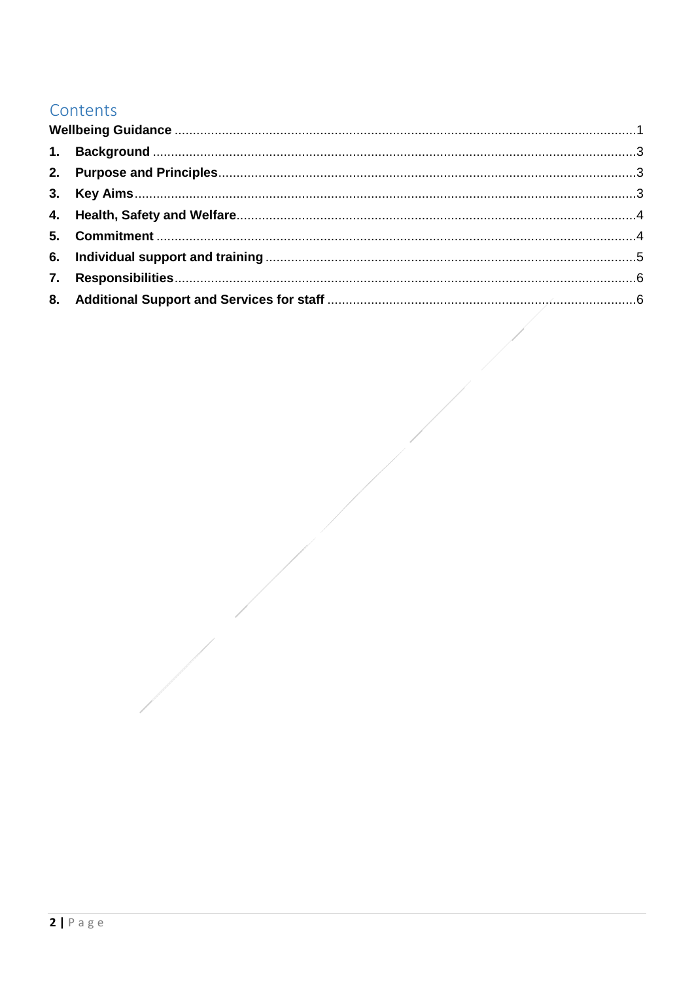# Contents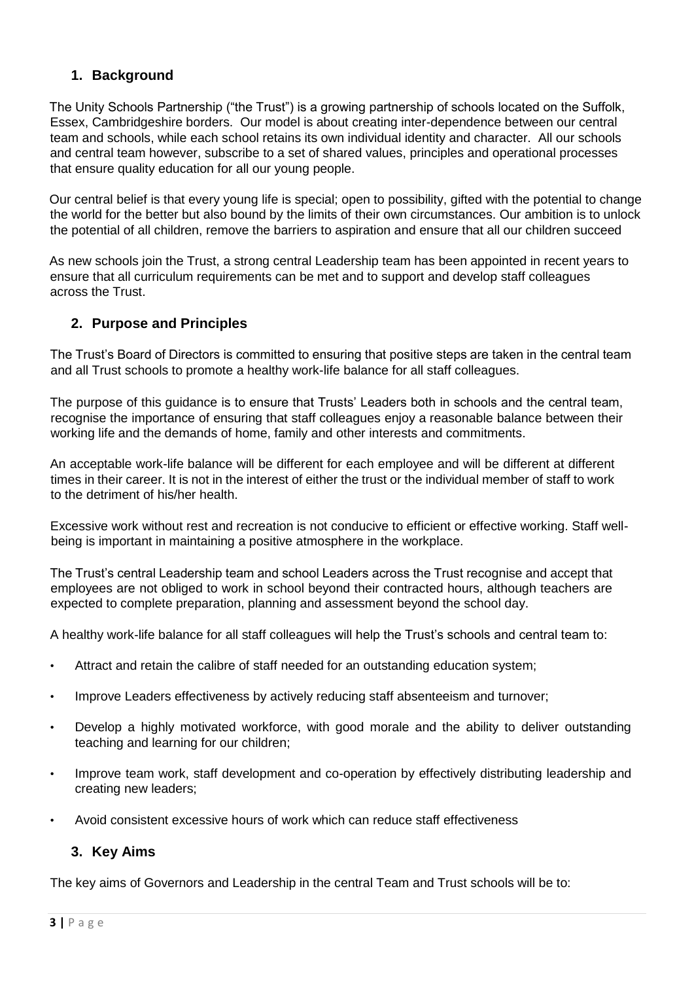# <span id="page-2-0"></span>**1. Background**

The Unity Schools Partnership ("the Trust") is a growing partnership of schools located on the Suffolk, Essex, Cambridgeshire borders. Our model is about creating inter-dependence between our central team and schools, while each school retains its own individual identity and character. All our schools and central team however, subscribe to a set of shared values, principles and operational processes that ensure quality education for all our young people.

Our central belief is that every young life is special; open to possibility, gifted with the potential to change the world for the better but also bound by the limits of their own circumstances. Our ambition is to unlock the potential of all children, remove the barriers to aspiration and ensure that all our children succeed

As new schools join the Trust, a strong central Leadership team has been appointed in recent years to ensure that all curriculum requirements can be met and to support and develop staff colleagues across the Trust.

# <span id="page-2-1"></span>**2. Purpose and Principles**

The Trust's Board of Directors is committed to ensuring that positive steps are taken in the central team and all Trust schools to promote a healthy work-life balance for all staff colleagues.

The purpose of this guidance is to ensure that Trusts' Leaders both in schools and the central team, recognise the importance of ensuring that staff colleagues enjoy a reasonable balance between their working life and the demands of home, family and other interests and commitments.

An acceptable work-life balance will be different for each employee and will be different at different times in their career. It is not in the interest of either the trust or the individual member of staff to work to the detriment of his/her health.

Excessive work without rest and recreation is not conducive to efficient or effective working. Staff wellbeing is important in maintaining a positive atmosphere in the workplace.

The Trust's central Leadership team and school Leaders across the Trust recognise and accept that employees are not obliged to work in school beyond their contracted hours, although teachers are expected to complete preparation, planning and assessment beyond the school day.

A healthy work-life balance for all staff colleagues will help the Trust's schools and central team to:

- Attract and retain the calibre of staff needed for an outstanding education system;
- Improve Leaders effectiveness by actively reducing staff absenteeism and turnover;
- Develop a highly motivated workforce, with good morale and the ability to deliver outstanding teaching and learning for our children;
- Improve team work, staff development and co-operation by effectively distributing leadership and creating new leaders;
- Avoid consistent excessive hours of work which can reduce staff effectiveness

# <span id="page-2-2"></span>**3. Key Aims**

The key aims of Governors and Leadership in the central Team and Trust schools will be to: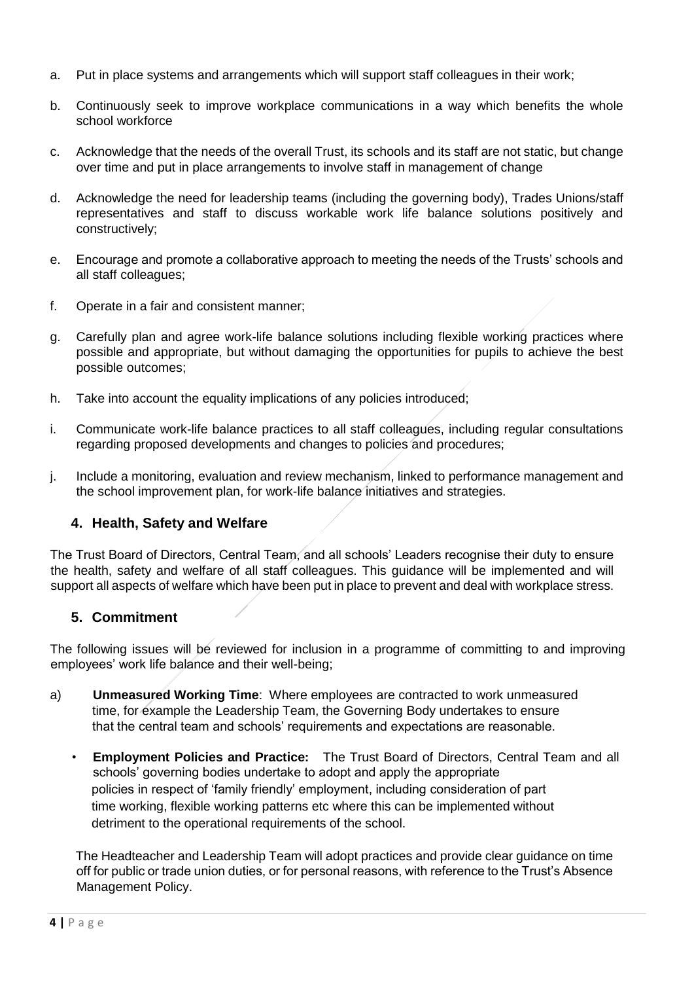- a. Put in place systems and arrangements which will support staff colleagues in their work;
- b. Continuously seek to improve workplace communications in a way which benefits the whole school workforce
- c. Acknowledge that the needs of the overall Trust, its schools and its staff are not static, but change over time and put in place arrangements to involve staff in management of change
- d. Acknowledge the need for leadership teams (including the governing body), Trades Unions/staff representatives and staff to discuss workable work life balance solutions positively and constructively;
- e. Encourage and promote a collaborative approach to meeting the needs of the Trusts' schools and all staff colleagues;
- f. Operate in a fair and consistent manner;
- g. Carefully plan and agree work-life balance solutions including flexible working practices where possible and appropriate, but without damaging the opportunities for pupils to achieve the best possible outcomes;
- h. Take into account the equality implications of any policies introduced;
- i. Communicate work-life balance practices to all staff colleagues, including regular consultations regarding proposed developments and changes to policies and procedures;
- j. Include a monitoring, evaluation and review mechanism, linked to performance management and the school improvement plan, for work-life balance initiatives and strategies.

#### <span id="page-3-0"></span>**4. Health, Safety and Welfare**

The Trust Board of Directors, Central Team, and all schools' Leaders recognise their duty to ensure the health, safety and welfare of all staff colleagues. This guidance will be implemented and will support all aspects of welfare which have been put in place to prevent and deal with workplace stress.

#### <span id="page-3-1"></span>**5. Commitment**

The following issues will be reviewed for inclusion in a programme of committing to and improving employees' work life balance and their well-being;

- a) **Unmeasured Working Time**: Where employees are contracted to work unmeasured time, for example the Leadership Team, the Governing Body undertakes to ensure that the central team and schools' requirements and expectations are reasonable.
	- **Employment Policies and Practice:** The Trust Board of Directors, Central Team and all schools' governing bodies undertake to adopt and apply the appropriate policies in respect of 'family friendly' employment, including consideration of part time working, flexible working patterns etc where this can be implemented without detriment to the operational requirements of the school.

The Headteacher and Leadership Team will adopt practices and provide clear guidance on time off for public or trade union duties, or for personal reasons, with reference to the Trust's Absence Management Policy.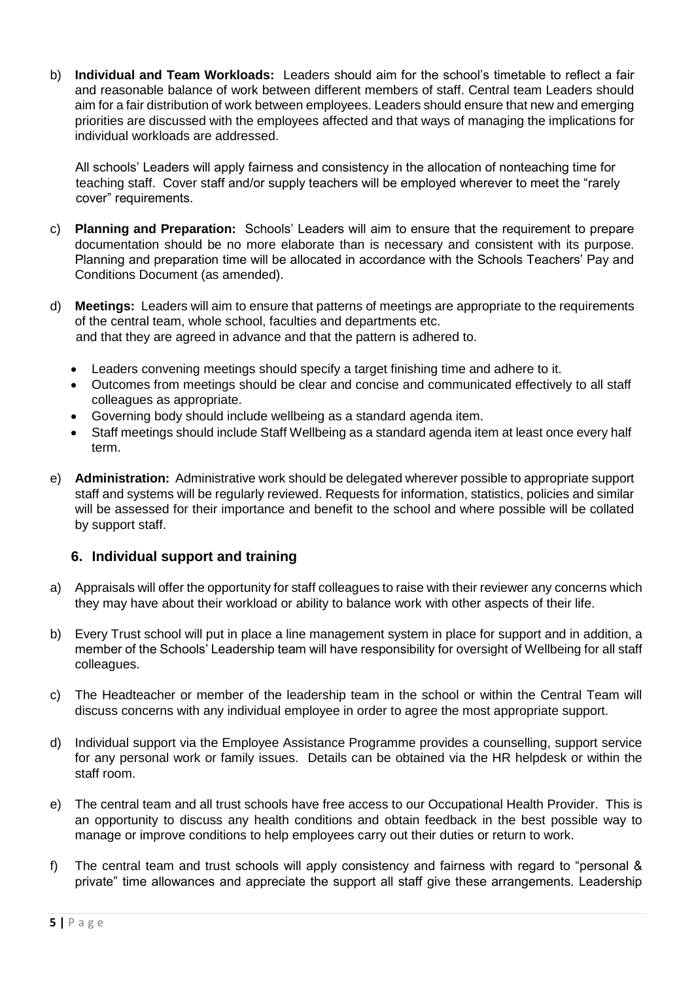b) **Individual and Team Workloads:** Leaders should aim for the school's timetable to reflect a fair and reasonable balance of work between different members of staff. Central team Leaders should aim for a fair distribution of work between employees. Leaders should ensure that new and emerging priorities are discussed with the employees affected and that ways of managing the implications for individual workloads are addressed.

All schools' Leaders will apply fairness and consistency in the allocation of nonteaching time for teaching staff. Cover staff and/or supply teachers will be employed wherever to meet the "rarely cover" requirements.

- c) **Planning and Preparation:** Schools' Leaders will aim to ensure that the requirement to prepare documentation should be no more elaborate than is necessary and consistent with its purpose. Planning and preparation time will be allocated in accordance with the Schools Teachers' Pay and Conditions Document (as amended).
- d) **Meetings:** Leaders will aim to ensure that patterns of meetings are appropriate to the requirements of the central team, whole school, faculties and departments etc. and that they are agreed in advance and that the pattern is adhered to.
	- Leaders convening meetings should specify a target finishing time and adhere to it.
	- Outcomes from meetings should be clear and concise and communicated effectively to all staff colleagues as appropriate.
	- Governing body should include wellbeing as a standard agenda item.
	- Staff meetings should include Staff Wellbeing as a standard agenda item at least once every half term.
- e) **Administration:** Administrative work should be delegated wherever possible to appropriate support staff and systems will be regularly reviewed. Requests for information, statistics, policies and similar will be assessed for their importance and benefit to the school and where possible will be collated by support staff.

#### <span id="page-4-0"></span>**6. Individual support and training**

- a) Appraisals will offer the opportunity for staff colleagues to raise with their reviewer any concerns which they may have about their workload or ability to balance work with other aspects of their life.
- b) Every Trust school will put in place a line management system in place for support and in addition, a member of the Schools' Leadership team will have responsibility for oversight of Wellbeing for all staff colleagues.
- c) The Headteacher or member of the leadership team in the school or within the Central Team will discuss concerns with any individual employee in order to agree the most appropriate support.
- d) Individual support via the Employee Assistance Programme provides a counselling, support service for any personal work or family issues. Details can be obtained via the HR helpdesk or within the staff room.
- e) The central team and all trust schools have free access to our Occupational Health Provider. This is an opportunity to discuss any health conditions and obtain feedback in the best possible way to manage or improve conditions to help employees carry out their duties or return to work.
- f) The central team and trust schools will apply consistency and fairness with regard to "personal & private" time allowances and appreciate the support all staff give these arrangements. Leadership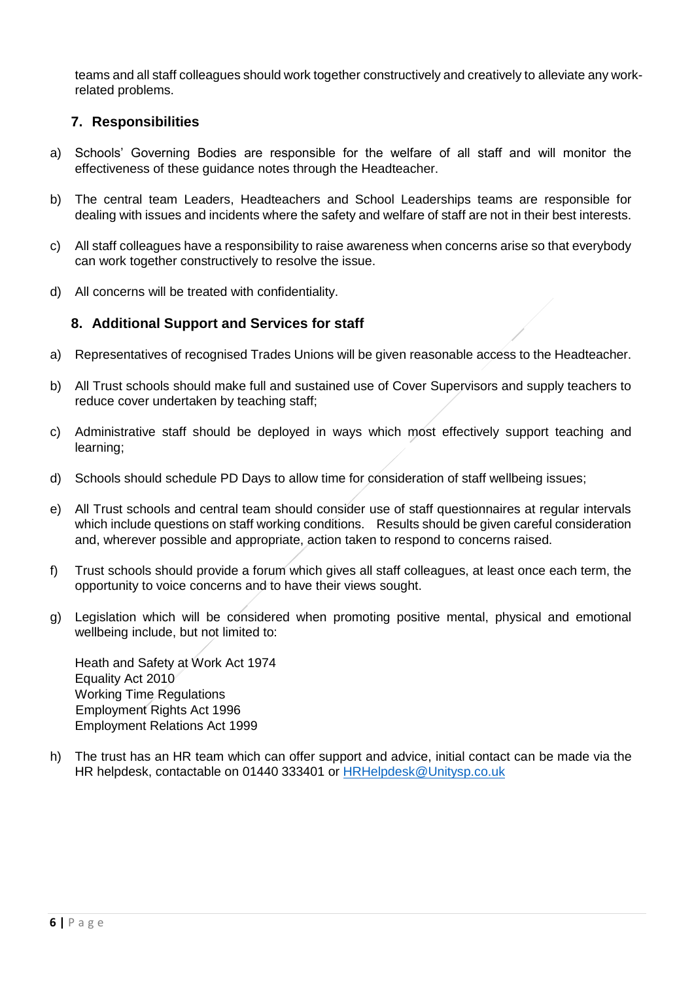teams and all staff colleagues should work together constructively and creatively to alleviate any workrelated problems.

### <span id="page-5-0"></span>**7. Responsibilities**

- a) Schools' Governing Bodies are responsible for the welfare of all staff and will monitor the effectiveness of these guidance notes through the Headteacher.
- b) The central team Leaders, Headteachers and School Leaderships teams are responsible for dealing with issues and incidents where the safety and welfare of staff are not in their best interests.
- c) All staff colleagues have a responsibility to raise awareness when concerns arise so that everybody can work together constructively to resolve the issue.
- d) All concerns will be treated with confidentiality.

## <span id="page-5-1"></span>**8. Additional Support and Services for staff**

- a) Representatives of recognised Trades Unions will be given reasonable access to the Headteacher.
- b) All Trust schools should make full and sustained use of Cover Supervisors and supply teachers to reduce cover undertaken by teaching staff;
- c) Administrative staff should be deployed in ways which most effectively support teaching and learning;
- d) Schools should schedule PD Days to allow time for consideration of staff wellbeing issues;
- e) All Trust schools and central team should consider use of staff questionnaires at regular intervals which include questions on staff working conditions. Results should be given careful consideration and, wherever possible and appropriate, action taken to respond to concerns raised.
- f) Trust schools should provide a forum which gives all staff colleagues, at least once each term, the opportunity to voice concerns and to have their views sought.
- g) Legislation which will be considered when promoting positive mental, physical and emotional wellbeing include, but not limited to:

Heath and Safety at Work Act 1974 Equality Act 2010 Working Time Regulations Employment Rights Act 1996 Employment Relations Act 1999

h) The trust has an HR team which can offer support and advice, initial contact can be made via the HR helpdesk, contactable on 01440 333401 or [HRHelpdesk@Unitysp.co.uk](mailto:HRHelpdesk@Unitysp.co.uk)